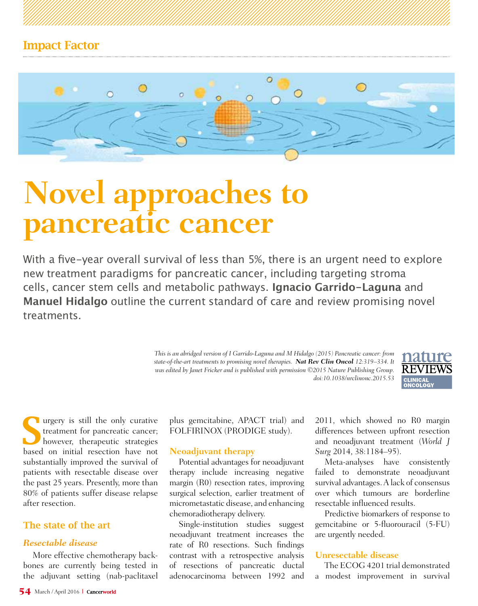

# **Novel approaches to pancreatic cancer**

With a five-year overall survival of less than 5%, there is an urgent need to explore new treatment paradigms for pancreatic cancer, including targeting stroma cells, cancer stem cells and metabolic pathways. **Ignacio Garrido-Laguna** and **Manuel Hidalgo** outline the current standard of care and review promising novel treatments.

> *This is an abridged version of I Garrido-Laguna and M Hidalgo (2015) Pancreatic cancer: from state-of-the-art treatments to promising novel therapies. Nat Rev Clin Oncol 12:319–334. It was edited by Janet Fricker and is published with permission ©2015 Nature Publishing Group. doi:10.1038/nrclinonc.2015.53*



Surgery is still the only curative<br>treatment for pancreatic cancer;<br>however, therapeutic strategies treatment for pancreatic cancer; however, therapeutic strategies based on initial resection have not substantially improved the survival of patients with resectable disease over the past 25 years. Presently, more than 80% of patients suffer disease relapse after resection.

# The state of the art

# *Resectable disease*

More effective chemotherapy backbones are currently being tested in the adjuvant setting (nab-paclitaxel plus gemcitabine, APACT trial) and FOLFIRINOX (PRODIGE study).

## **Neoadjuvant therapy**

Potential advantages for neoadjuvant therapy include increasing negative margin (R0) resection rates, improving surgical selection, earlier treatment of micrometastatic disease, and enhancing chemoradiotherapy delivery.

Single-institution studies suggest neoadjuvant treatment increases the rate of R0 resections. Such findings contrast with a retrospective analysis of resections of pancreatic ductal adenocarcinoma between 1992 and

2011, which showed no R0 margin differences between upfront resection and neoadjuvant treatment (*World J Surg* 2014, 38:1184–95).

Meta-analyses have consistently failed to demonstrate neoadjuvant survival advantages. A lack of consensus over which tumours are borderline resectable influenced results.

Predictive biomarkers of response to gemcitabine or 5-fluorouracil (5-FU) are urgently needed.

## **Unresectable disease**

The ECOG 4201 trial demonstrated a modest improvement in survival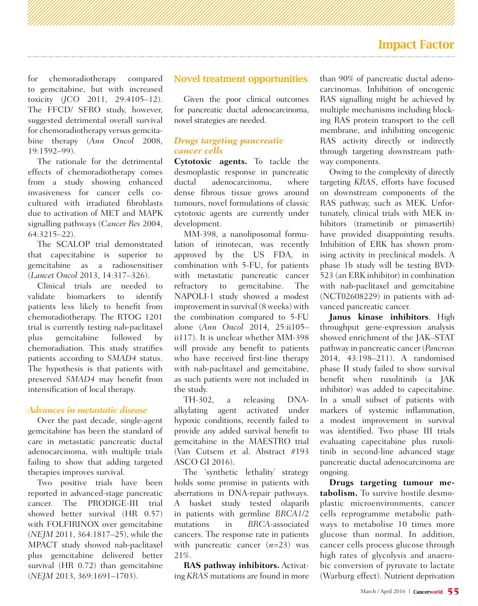# Impact Factor

for chemoradiotherapy compared to gemcitabine, but with increased toxicity (*JCO* 2011, 29:4105–12). The FFCD/ SFRO study, however, suggested detrimental overall survival for chemoradiotherapy versus gemcitabine therapy (*Ann Oncol* 2008, 19:1592–99).

The rationale for the detrimental effects of chemoradiotherapy comes from a study showing enhanced invasiveness for cancer cells cocultured with irradiated fibroblasts due to activation of MET and MAPK signalling pathways (*Cancer Res* 2004, 64:3215–22).

The SCALOP trial demonstrated that capecitabine is superior to gemcitabine as a radiosensitiser (*Lancet Oncol* 2013, 14:317–326).

Clinical trials are needed to validate biomarkers to identify patients less likely to benefit from chemoradiotherapy. The RTOG 1201 trial is currently testing nab-paclitaxel plus gemcitabine followed by chemoradiation. This study stratifies patients according to *SMAD4* status. The hypothesis is that patients with preserved *SMAD4* may benefit from intensification of local therapy.

#### *Advances in metastatic disease*

Over the past decade, single-agent gemcitabine has been the standard of care in metastatic pancreatic ductal adenocarcinoma, with multiple trials failing to show that adding targeted therapies improves survival.

Two positive trials have been reported in advanced-stage pancreatic cancer. The PRODIGE-III trial showed better survival (HR 0.57) with FOLFIRINOX over gemcitabine (*NEJM* 2011, 364:1817–25), while the MPACT study showed nab-paclitaxel plus gemcitabine delivered better survival (HR 0.72) than gemcitabine (*NEJM* 2013, 369:1691–1703).

## Novel treatment opportunities

Given the poor clinical outcomes for pancreatic ductal adenocarcinoma, novel strategies are needed.

### *Drugs targeting pancreatic cancer cells*

**Cytotoxic agents.** To tackle the desmoplastic response in pancreatic ductal adenocarcinoma, where dense fibrous tissue grows around tumours, novel formulations of classic cytotoxic agents are currently under development.

MM-398, a nanoliposomal formulation of irinotecan, was recently approved by the US FDA, in combination with 5-FU, for patients with metastatic pancreatic cancer refractory to gemcitabine. The NAPOLI-1 study showed a modest improvement in survival (8 weeks) with the combination compared to 5-FU alone (*Ann Oncol* 2014, 25:ii105– ii117). It is unclear whether MM-398 will provide any benefit to patients who have received first-line therapy with nab-paclitaxel and gemcitabine, as such patients were not included in the study.

TH-302, a releasing DNAalkylating agent activated under hypoxic conditions, recently failed to provide any added survival benefit to gemcitabine in the MAESTRO trial (Van Cutsem et al. Abstract #193 ASCO GI 2016).

The 'synthetic lethality' strategy holds some promise in patients with aberrations in DNA-repair pathways. A basket study tested olaparib in patients with germline *BRCA1/2*  mutations in *BRCA*-associated cancers. The response rate in patients with pancreatic cancer (*n*=23) was 21%.

**RAS pathway inhibitors.** Activating *KRAS* mutations are found in more than 90% of pancreatic ductal adenocarcinomas. Inhibition of oncogenic RAS signalling might be achieved by multiple mechanisms including blocking RAS protein transport to the cell membrane, and inhibiting oncogenic RAS activity directly or indirectly through targeting downstream pathway components.

Owing to the complexity of directly targeting *KRAS*, efforts have focused on downstream components of the RAS pathway, such as MEK. Unfortunately, clinical trials with MEK inhibitors (trametinib or pimasertib) have provided disappointing results. Inhibition of ERK has shown promising activity in preclinical models. A phase 1b study will be testing BVD-523 (an ERK inhibitor) in combination with nab-paclitaxel and gemcitabine (NCT02608229) in patients with advanced pancreatic cancer.

**Janus kinase inhibitors**. High throughput gene-expression analysis showed enrichment of the JAK–STAT pathway in pancreatic cancer (*Pancreas* 2014, 43:198–211). A randomised phase II study failed to show survival benefit when ruxolitinib (a JAK inhibitor) was added to capecitabine. In a small subset of patients with markers of systemic inflammation, a modest improvement in survival was identified. Two phase III trials evaluating capecitabine plus ruxolitinib in second-line advanced stage pancreatic ductal adenocarcinoma are ongoing.

**Drugs targeting tumour metabolism.** To survive hostile desmoplastic microenvironments, cancer cells reprogramme metabolic pathways to metabolise 10 times more glucose than normal. In addition, cancer cells process glucose through high rates of glycolysis and anaerobic conversion of pyruvate to lactate (Warburg effect). Nutrient deprivation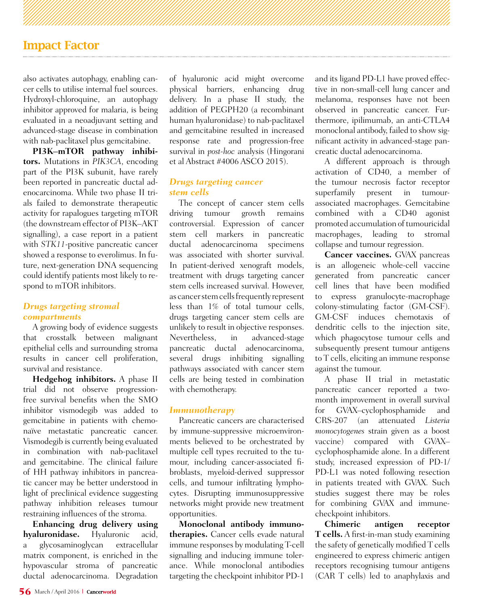# Impact Factor

also activates autophagy, enabling cancer cells to utilise internal fuel sources. Hydroxyl-chloroquine, an autophagy inhibitor approved for malaria, is being evaluated in a neoadjuvant setting and advanced-stage disease in combination with nab-paclitaxel plus gemcitabine.

**PI3K–mTOR pathway inhibitors.** Mutations in *PIK3CA*, encoding part of the PI3K subunit, have rarely been reported in pancreatic ductal adenocarcinoma. While two phase II trials failed to demonstrate therapeutic activity for rapalogues targeting mTOR (the downstream effector of PI3K–AKT signalling), a case report in a patient with *STK11*-positive pancreatic cancer showed a response to everolimus. In future, next-generation DNA sequencing could identify patients most likely to respond to mTOR inhibitors.

## *Drugs targeting stromal compartments*

A growing body of evidence suggests that crosstalk between malignant epithelial cells and surrounding stroma results in cancer cell proliferation, survival and resistance.

**Hedgehog inhibitors.** A phase II trial did not observe progressionfree survival benefits when the SMO inhibitor vismodegib was added to gemcitabine in patients with chemonaïve metastatic pancreatic cancer. Vismodegib is currently being evaluated in combination with nab-paclitaxel and gemcitabine. The clinical failure of HH pathway inhibitors in pancreatic cancer may be better understood in light of preclinical evidence suggesting pathway inhibition releases tumour restraining influences of the stroma.

**Enhancing drug delivery using hyaluronidase.** Hyaluronic acid, a glycosaminoglycan extracellular matrix component, is enriched in the hypovascular stroma of pancreatic ductal adenocarcinoma. Degradation

of hyaluronic acid might overcome physical barriers, enhancing drug delivery. In a phase II study, the addition of PEGPH20 (a recombinant human hyaluronidase) to nab-paclitaxel and gemcitabine resulted in increased response rate and progression-free survival in *post-hoc* analysis (Hingorani et al Abstract #4006 ASCO 2015).

## *Drugs targeting cancer stem cells*

The concept of cancer stem cells driving tumour growth remains controversial. Expression of cancer stem cell markers in pancreatic ductal adenocarcinoma specimens was associated with shorter survival. In patient-derived xenograft models, treatment with drugs targeting cancer stem cells increased survival. However, as cancer stem cells frequently represent less than 1% of total tumour cells, drugs targeting cancer stem cells are unlikely to result in objective responses. Nevertheless, in advanced-stage pancreatic ductal adenocarcinoma, several drugs inhibiting signalling pathways associated with cancer stem cells are being tested in combination with chemotherapy.

#### *Immunotherapy*

Pancreatic cancers are characterised by immune-suppressive microenvironments believed to be orchestrated by multiple cell types recruited to the tumour, including cancer-associated fibroblasts, myeloid-derived suppressor cells, and tumour infiltrating lymphocytes. Disrupting immunosuppressive networks might provide new treatment opportunities.

**Monoclonal antibody immunotherapies.** Cancer cells evade natural immune responses by modulating T-cell signalling and inducing immune tolerance. While monoclonal antibodies targeting the checkpoint inhibitor PD-1

and its ligand PD-L1 have proved effective in non-small-cell lung cancer and melanoma, responses have not been observed in pancreatic cancer. Furthermore, ipilimumab, an anti-CTLA4 monoclonal antibody, failed to show significant activity in advanced-stage pancreatic ductal adenocarcinoma.

A different approach is through activation of CD40, a member of the tumour necrosis factor receptor superfamily present in tumourassociated macrophages. Gemcitabine combined with a CD40 agonist promoted accumulation of tumouricidal macrophages, leading to stromal collapse and tumour regression.

**Cancer vaccines.** GVAX pancreas is an allogeneic whole-cell vaccine generated from pancreatic cancer cell lines that have been modified to express granulocyte-macrophage colony-stimulating factor (GM-CSF). GM-CSF induces chemotaxis of dendritic cells to the injection site, which phagocytose tumour cells and subsequently present tumour antigens to T cells, eliciting an immune response against the tumour.

A phase II trial in metastatic pancreatic cancer reported a twomonth improvement in overall survival for GVAX–cyclophosphamide and CRS-207 (an attenuated *Listeria monocytogenes* strain given as a boost vaccine) compared with GVAX– cyclophosphamide alone. In a different study, increased expression of  $PD-1/$ PD-L1 was noted following resection in patients treated with GVAX. Such studies suggest there may be roles for combining GVAX and immunecheckpoint inhibitors.

**Chimeric antigen receptor T cells.** A first-in-man study examining the safety of genetically modified T cells engineered to express chimeric antigen receptors recognising tumour antigens (CAR T cells) led to anaphylaxis and